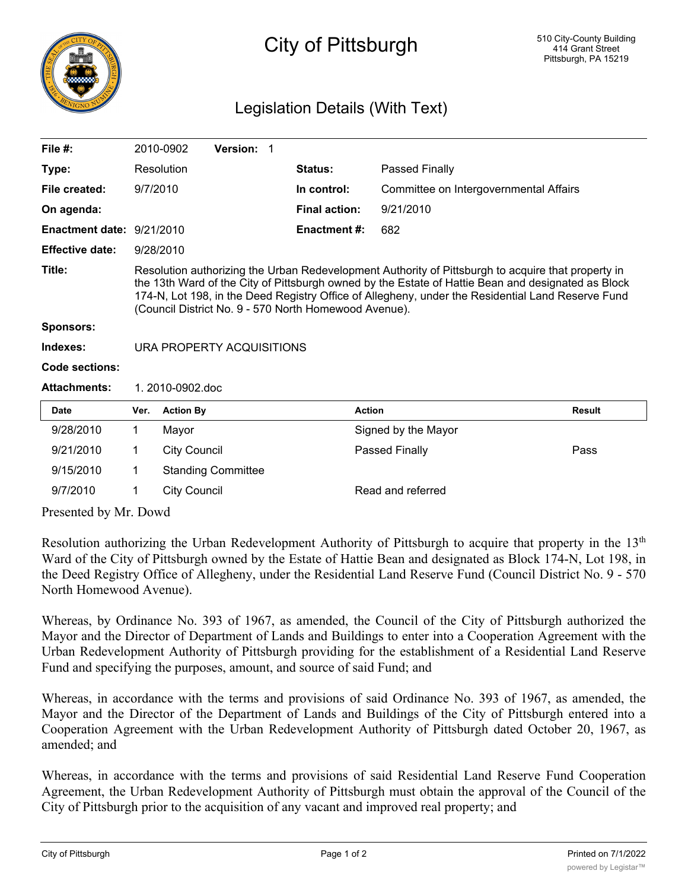

## City of Pittsburgh

## Legislation Details (With Text)

| File $#$ :                |                                                                                                                                                                                                                                                                                                                                                                        | 2010-0902           | Version: 1                |                      |                                        |               |
|---------------------------|------------------------------------------------------------------------------------------------------------------------------------------------------------------------------------------------------------------------------------------------------------------------------------------------------------------------------------------------------------------------|---------------------|---------------------------|----------------------|----------------------------------------|---------------|
| Type:                     |                                                                                                                                                                                                                                                                                                                                                                        | Resolution          |                           | <b>Status:</b>       | Passed Finally                         |               |
| File created:             | 9/7/2010                                                                                                                                                                                                                                                                                                                                                               |                     |                           | In control:          | Committee on Intergovernmental Affairs |               |
| On agenda:                |                                                                                                                                                                                                                                                                                                                                                                        |                     |                           | <b>Final action:</b> | 9/21/2010                              |               |
| Enactment date: 9/21/2010 |                                                                                                                                                                                                                                                                                                                                                                        |                     |                           | <b>Enactment #:</b>  | 682                                    |               |
| <b>Effective date:</b>    | 9/28/2010                                                                                                                                                                                                                                                                                                                                                              |                     |                           |                      |                                        |               |
| Title:                    | Resolution authorizing the Urban Redevelopment Authority of Pittsburgh to acquire that property in<br>the 13th Ward of the City of Pittsburgh owned by the Estate of Hattie Bean and designated as Block<br>174-N, Lot 198, in the Deed Registry Office of Allegheny, under the Residential Land Reserve Fund<br>(Council District No. 9 - 570 North Homewood Avenue). |                     |                           |                      |                                        |               |
| <b>Sponsors:</b>          |                                                                                                                                                                                                                                                                                                                                                                        |                     |                           |                      |                                        |               |
| Indexes:                  | URA PROPERTY ACQUISITIONS                                                                                                                                                                                                                                                                                                                                              |                     |                           |                      |                                        |               |
| Code sections:            |                                                                                                                                                                                                                                                                                                                                                                        |                     |                           |                      |                                        |               |
| <b>Attachments:</b>       | $1.2010 - 0902$ doc                                                                                                                                                                                                                                                                                                                                                    |                     |                           |                      |                                        |               |
| <b>Date</b>               | Ver.                                                                                                                                                                                                                                                                                                                                                                   | <b>Action By</b>    |                           |                      | <b>Action</b>                          | <b>Result</b> |
| 9/28/2010                 | 1                                                                                                                                                                                                                                                                                                                                                                      | Mayor               |                           |                      | Signed by the Mayor                    |               |
| 9/21/2010                 | 1                                                                                                                                                                                                                                                                                                                                                                      | <b>City Council</b> |                           |                      | Passed Finally                         | Pass          |
| 9/15/2010                 | 1                                                                                                                                                                                                                                                                                                                                                                      |                     | <b>Standing Committee</b> |                      |                                        |               |

9/7/2010 1 City Council Read and referred

Presented by Mr. Dowd

Resolution authorizing the Urban Redevelopment Authority of Pittsburgh to acquire that property in the 13<sup>th</sup> Ward of the City of Pittsburgh owned by the Estate of Hattie Bean and designated as Block 174-N, Lot 198, in the Deed Registry Office of Allegheny, under the Residential Land Reserve Fund (Council District No. 9 - 570 North Homewood Avenue).

Whereas, by Ordinance No. 393 of 1967, as amended, the Council of the City of Pittsburgh authorized the Mayor and the Director of Department of Lands and Buildings to enter into a Cooperation Agreement with the Urban Redevelopment Authority of Pittsburgh providing for the establishment of a Residential Land Reserve Fund and specifying the purposes, amount, and source of said Fund; and

Whereas, in accordance with the terms and provisions of said Ordinance No. 393 of 1967, as amended, the Mayor and the Director of the Department of Lands and Buildings of the City of Pittsburgh entered into a Cooperation Agreement with the Urban Redevelopment Authority of Pittsburgh dated October 20, 1967, as amended; and

Whereas, in accordance with the terms and provisions of said Residential Land Reserve Fund Cooperation Agreement, the Urban Redevelopment Authority of Pittsburgh must obtain the approval of the Council of the City of Pittsburgh prior to the acquisition of any vacant and improved real property; and